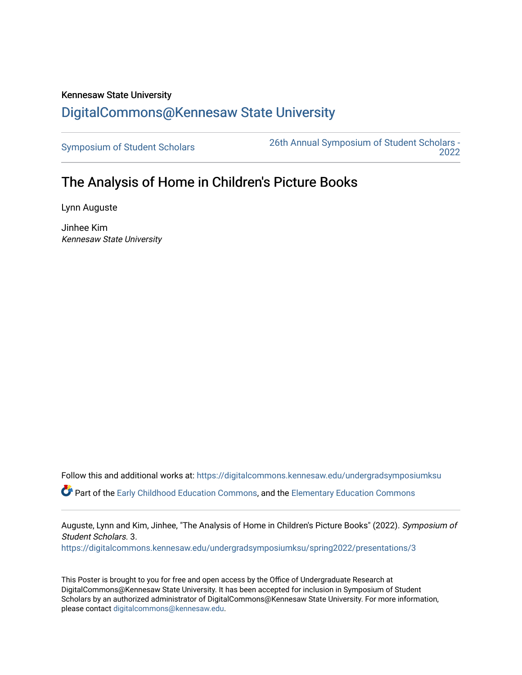## Kennesaw State University [DigitalCommons@Kennesaw State University](https://digitalcommons.kennesaw.edu/)

[Symposium of Student Scholars](https://digitalcommons.kennesaw.edu/undergradsymposiumksu) [26th Annual Symposium of Student Scholars -](https://digitalcommons.kennesaw.edu/undergradsymposiumksu/spring2022)  [2022](https://digitalcommons.kennesaw.edu/undergradsymposiumksu/spring2022) 

## The Analysis of Home in Children's Picture Books

Lynn Auguste

Jinhee Kim Kennesaw State University

Follow this and additional works at: [https://digitalcommons.kennesaw.edu/undergradsymposiumksu](https://digitalcommons.kennesaw.edu/undergradsymposiumksu?utm_source=digitalcommons.kennesaw.edu%2Fundergradsymposiumksu%2Fspring2022%2Fpresentations%2F3&utm_medium=PDF&utm_campaign=PDFCoverPages) 

Part of the [Early Childhood Education Commons,](http://network.bepress.com/hgg/discipline/1377?utm_source=digitalcommons.kennesaw.edu%2Fundergradsymposiumksu%2Fspring2022%2Fpresentations%2F3&utm_medium=PDF&utm_campaign=PDFCoverPages) and the [Elementary Education Commons](http://network.bepress.com/hgg/discipline/1378?utm_source=digitalcommons.kennesaw.edu%2Fundergradsymposiumksu%2Fspring2022%2Fpresentations%2F3&utm_medium=PDF&utm_campaign=PDFCoverPages)

Auguste, Lynn and Kim, Jinhee, "The Analysis of Home in Children's Picture Books" (2022). Symposium of Student Scholars. 3.

[https://digitalcommons.kennesaw.edu/undergradsymposiumksu/spring2022/presentations/3](https://digitalcommons.kennesaw.edu/undergradsymposiumksu/spring2022/presentations/3?utm_source=digitalcommons.kennesaw.edu%2Fundergradsymposiumksu%2Fspring2022%2Fpresentations%2F3&utm_medium=PDF&utm_campaign=PDFCoverPages)

This Poster is brought to you for free and open access by the Office of Undergraduate Research at DigitalCommons@Kennesaw State University. It has been accepted for inclusion in Symposium of Student Scholars by an authorized administrator of DigitalCommons@Kennesaw State University. For more information, please contact [digitalcommons@kennesaw.edu.](mailto:digitalcommons@kennesaw.edu)